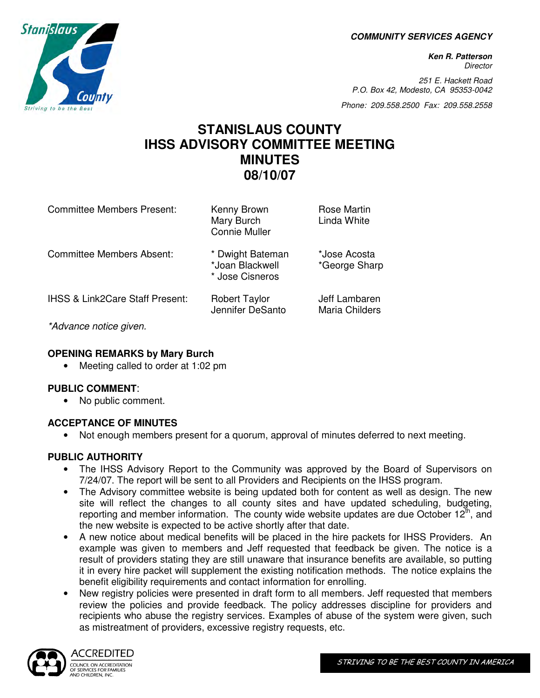**COMMUNITY SERVICES AGENCY** 

**Ken R. Patterson Director** 

251 E. Hackett Road P.O. Box 42, Modesto, CA 95353-0042

Phone: 209.558.2500 Fax: 209.558.2558

## **STANISLAUS COUNTY IHSS ADVISORY COMMITTEE MEETING MINUTES 08/10/07**

| <b>Committee Members Present:</b>          | Kenny Brown<br>Mary Burch<br><b>Connie Muller</b>      | <b>Rose Martin</b><br>Linda White |
|--------------------------------------------|--------------------------------------------------------|-----------------------------------|
| Committee Members Absent:                  | * Dwight Bateman<br>*Joan Blackwell<br>* Jose Cisneros | *Jose Acosta<br>*George Sharp     |
| <b>IHSS &amp; Link2Care Staff Present:</b> | <b>Robert Taylor</b><br>Jennifer DeSanto               | Jeff Lambaren<br>Maria Childers   |
| $*$ A decrease realize already             |                                                        |                                   |

\*Advance notice given.

## **OPENING REMARKS by Mary Burch**

• Meeting called to order at 1:02 pm

## **PUBLIC COMMENT**:

• No public comment.

## **ACCEPTANCE OF MINUTES**

• Not enough members present for a quorum, approval of minutes deferred to next meeting.

## **PUBLIC AUTHORITY**

- The IHSS Advisory Report to the Community was approved by the Board of Supervisors on 7/24/07. The report will be sent to all Providers and Recipients on the IHSS program.
- The Advisory committee website is being updated both for content as well as design. The new site will reflect the changes to all county sites and have updated scheduling, budgeting, reporting and member information. The county wide website updates are due October  $12<sup>th</sup>$ , and the new website is expected to be active shortly after that date.
- A new notice about medical benefits will be placed in the hire packets for IHSS Providers. An example was given to members and Jeff requested that feedback be given. The notice is a result of providers stating they are still unaware that insurance benefits are available, so putting it in every hire packet will supplement the existing notification methods. The notice explains the benefit eligibility requirements and contact information for enrolling.
- New registry policies were presented in draft form to all members. Jeff requested that members review the policies and provide feedback. The policy addresses discipline for providers and recipients who abuse the registry services. Examples of abuse of the system were given, such as mistreatment of providers, excessive registry requests, etc.



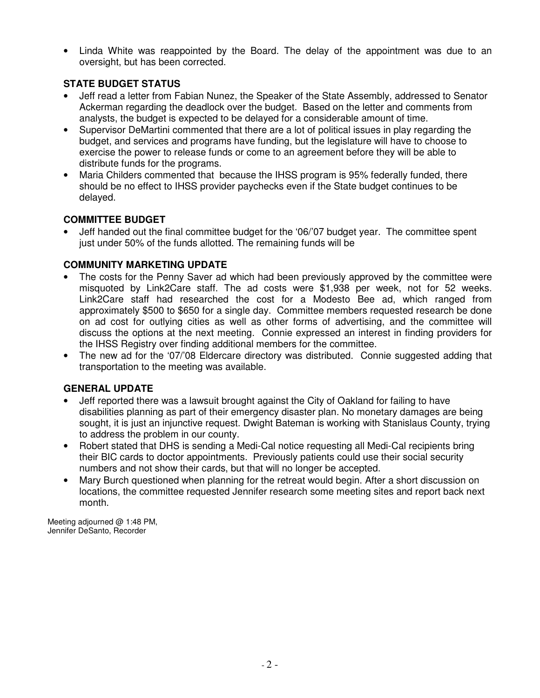• Linda White was reappointed by the Board. The delay of the appointment was due to an oversight, but has been corrected.

## **STATE BUDGET STATUS**

- Jeff read a letter from Fabian Nunez, the Speaker of the State Assembly, addressed to Senator Ackerman regarding the deadlock over the budget. Based on the letter and comments from analysts, the budget is expected to be delayed for a considerable amount of time.
- Supervisor DeMartini commented that there are a lot of political issues in play regarding the budget, and services and programs have funding, but the legislature will have to choose to exercise the power to release funds or come to an agreement before they will be able to distribute funds for the programs.
- Maria Childers commented that because the IHSS program is 95% federally funded, there should be no effect to IHSS provider paychecks even if the State budget continues to be delayed.

## **COMMITTEE BUDGET**

• Jeff handed out the final committee budget for the '06/'07 budget year. The committee spent just under 50% of the funds allotted. The remaining funds will be

## **COMMUNITY MARKETING UPDATE**

- The costs for the Penny Saver ad which had been previously approved by the committee were misquoted by Link2Care staff. The ad costs were \$1,938 per week, not for 52 weeks. Link2Care staff had researched the cost for a Modesto Bee ad, which ranged from approximately \$500 to \$650 for a single day. Committee members requested research be done on ad cost for outlying cities as well as other forms of advertising, and the committee will discuss the options at the next meeting. Connie expressed an interest in finding providers for the IHSS Registry over finding additional members for the committee.
- The new ad for the '07/'08 Eldercare directory was distributed. Connie suggested adding that transportation to the meeting was available.

## **GENERAL UPDATE**

- Jeff reported there was a lawsuit brought against the City of Oakland for failing to have disabilities planning as part of their emergency disaster plan. No monetary damages are being sought, it is just an injunctive request. Dwight Bateman is working with Stanislaus County, trying to address the problem in our county.
- Robert stated that DHS is sending a Medi-Cal notice requesting all Medi-Cal recipients bring their BIC cards to doctor appointments. Previously patients could use their social security numbers and not show their cards, but that will no longer be accepted.
- Mary Burch questioned when planning for the retreat would begin. After a short discussion on locations, the committee requested Jennifer research some meeting sites and report back next month.

Meeting adjourned @ 1:48 PM, Jennifer DeSanto, Recorder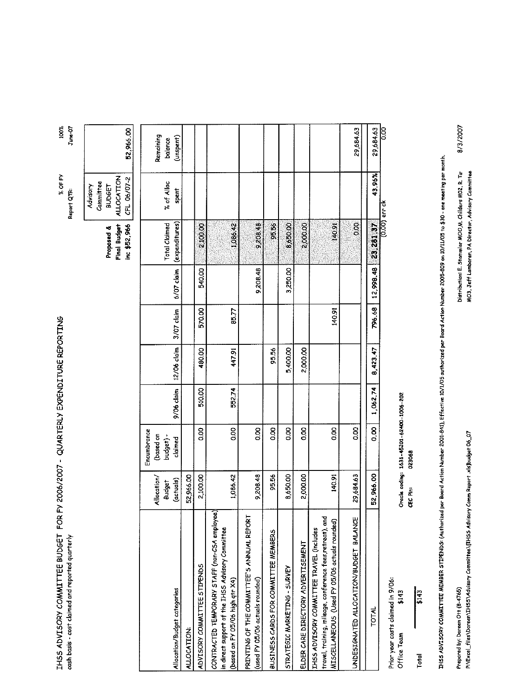| IHSS ADVISORY COMMITTEE BUDGET FOR FY 2006/2007 - QUARTERLY EXPENDITURE REPORTING |                          |
|-----------------------------------------------------------------------------------|--------------------------|
|                                                                                   |                          |
|                                                                                   |                          |
|                                                                                   |                          |
|                                                                                   |                          |
|                                                                                   |                          |
|                                                                                   |                          |
|                                                                                   |                          |
|                                                                                   |                          |
|                                                                                   |                          |
|                                                                                   | onah hear - ona+ eleimne |
|                                                                                   |                          |
|                                                                                   |                          |

 $100\%$  June-07 % OF FY Report QTR:

52,966.00 Proposed & Cammittee<br>Proposed & BUDGET<br>Final Budget ALLOCATION inc \$52,966 CFL 06/07-2 Advisory

| Remaining<br>balance                  | (unspent)                    |             |                             |                                                                                                                                      |                                                                              |                                      |                              |                                    |                                                                                                                                                        | 29684.63                               | 29,684.63    | <b>SOO</b>    |
|---------------------------------------|------------------------------|-------------|-----------------------------|--------------------------------------------------------------------------------------------------------------------------------------|------------------------------------------------------------------------------|--------------------------------------|------------------------------|------------------------------------|--------------------------------------------------------------------------------------------------------------------------------------------------------|----------------------------------------|--------------|---------------|
| % of Alloc                            | spent                        |             |                             |                                                                                                                                      |                                                                              |                                      |                              |                                    |                                                                                                                                                        |                                        | 43.96%       |               |
| Total Claimed                         | (expenditures)               |             | <b>80012</b>                | 1,086.42                                                                                                                             | 9208.48                                                                      | 95.56                                | 8,650,8                      | <b>2,000,0</b>                     | 50#1                                                                                                                                                   | 8o                                     | 23,281,37    | (0.00) err ck |
|                                       | 6/07 claim                   |             | 540.00                      |                                                                                                                                      | 9208.48                                                                      |                                      | 3,250.00                     |                                    |                                                                                                                                                        |                                        | 12,998.48    |               |
|                                       | 3/07 claim                   |             | 570,00                      | 85.77                                                                                                                                |                                                                              |                                      |                              |                                    | 140.91                                                                                                                                                 |                                        | 796.68       |               |
|                                       | 12/06 claim                  |             | 480.00                      | 447.91                                                                                                                               |                                                                              | 95.56                                | 5,400.00                     | 2,000.00                           |                                                                                                                                                        |                                        | 8,423,47     |               |
|                                       | 9/06 claim                   |             | 510.00                      | 552.74                                                                                                                               |                                                                              |                                      |                              |                                    |                                                                                                                                                        |                                        | 1,062.74     |               |
| Encumbrance<br>(based on<br>budger) - | claimed                      |             | 0.00                        | 0.00                                                                                                                                 | 0.00                                                                         | 0.00                                 | 8<br>So                      | g                                  | 8<br>So                                                                                                                                                | 0.00                                   | 8<br>0       |               |
| Allocation/<br>Budget                 | (actuals)                    | 52,966.00   | 2,100.00                    | 1,086.42                                                                                                                             | 9,208.48                                                                     | 95.56                                | 8,650.00                     | 2,000.00                           | 140.91                                                                                                                                                 | 29,684.63                              | 52,966.00    |               |
|                                       | Allocation/Budget categories | ALLOCATION: | ADVISORY COMMITTEE STIPENDS | CONTRACTED TEMPORARY STAFF (non-CSA employee)<br>in direct support of the IHSS Advisory Committee<br>(based an FY 05/06 high qtr X4) | PRINTING OF THE COMMITTEE'S ANNUAL REPORT<br>(used FY 05/06 actuals rounded) | BUSINESS CARDS FOR COMMITTEE MEMBERS | STRATEGIC MARKETING - SURVEY | ELDER CARE DIRECTORY ADVERTISEMENT | š<br>MISCELLANEOUS (Used FY 05/06 actuals rounded)<br>IHSS ADVISORY COMMITTEE TRAVEL (includes<br>travel, training, mileage, conference fees,retreat), | UNDESTGNATED ALLOCATION/BUDGET BALANCE | <b>TOTAL</b> |               |

Prior year costs claimed in 9/06: \$143 Office Team

 $\frac{1}{143}$ Total

Oracle coding: 1631-45201-62400-1006-202<br>CEC Pin: 023068

IHSS ADVISORY COMMITTEE MEMBER STIPENDS: (Authorized per Board Action Number 2001-841), Effective 10/1/05 authorized per Board Action Number 2005-809 on 10/11/05 to \$30 - one meeting per month.

Prepared by: Doreen Ott (8-4765)

P:\Excel\_files\Doreen\IHSS\Advisory Committee\[IHSS Advisory Comm Report .xls]budget 06\_07

8/3/2007 Distribution: E. Stammler MOO,M. Childers MO2, R. Ta<br>MO3, Jeff Lambaren, PA Director, Advisory Cammittee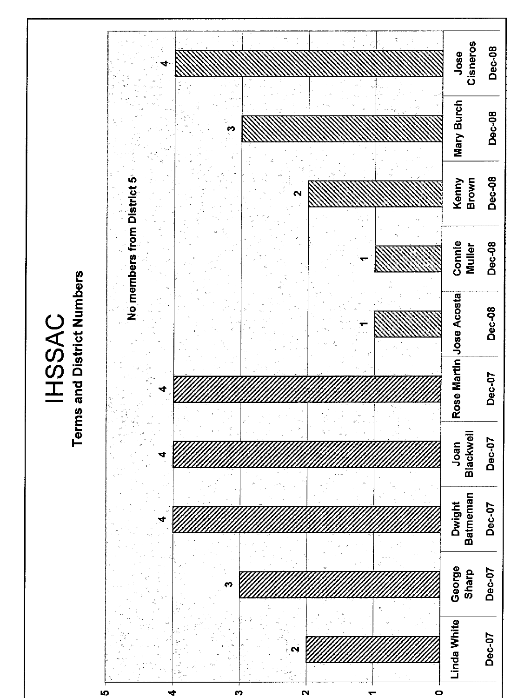

**IHSSAC**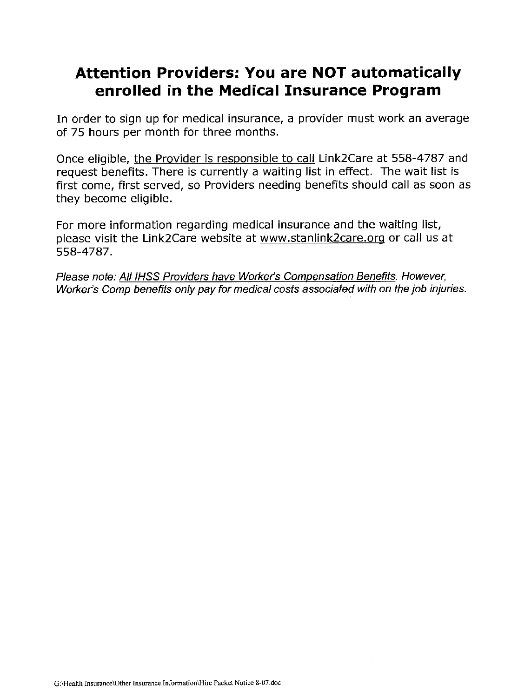## **Attention Providers: You are NOT automatically** enrolled in the Medical Insurance Program

In order to sign up for medical insurance, a provider must work an average of 75 hours per month for three months.

Once eligible, the Provider is responsible to call Link2Care at 558-4787 and request benefits. There is currently a waiting list in effect. The wait list is first come, first served, so Providers needing benefits should call as soon as they become eligible.

For more information regarding medical insurance and the waiting list, please visit the Link2Care website at www.stanlink2care.org or call us at 558-4787.

Please note: All IHSS Providers have Worker's Compensation Benefits. However, Worker's Comp benefits only pay for medical costs associated with on the job injuries.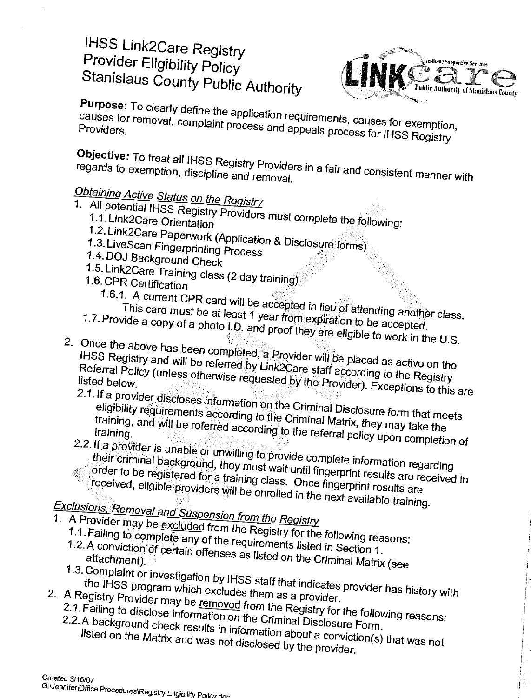# **IHSS Link2Care Registry** Provider Eligibility Policy Stanislaus County Public Authority

![](_page_5_Picture_1.jpeg)

Purpose: To clearly define the application requirements, causes for exemption, causes for removal, complaint process and appeals process for IHSS Registry

Objective: To treat all IHSS Registry Providers in a fair and consistent manner with regards to exemption, discipline and removal.

# Obtaining Active Status on the Registry

- 
- 1. All potential IHSS Registry Providers must complete the following:
	-
	- 1.2. Link2Care Paperwork (Application & Disclosure forms) 1.3. LiveScan Fingerprinting Process
	- 1.4. DOJ Background Check
	-
	- 1.5. Link2Care Training class (2 day training) 1.6. CPR Certification
		- -
		- 1.6.1. A current CPR card will be accepted in lieu of attending another class. This card must be at least 1 year from expiration to be accepted.
			-
- 1.7. Provide a copy of a photo I.D. and proof they are eligible to work in the U.S. 2. Once the above has been completed, a Provider will be placed as active on the IHSS Registry and will be referred by Link2Care staff according to the Registry Referral Policy (unless otherwise requested by the Provider). Exceptions to this are
	- 2.1. If a provider discloses information on the Criminal Disclosure form that meets eligibility requirements according to the Criminal Matrix, they may take the training, and will be referred according to the referral policy upon completion of
	- 2.2. If a provider is unable or unwilling to provide complete information regarding
		- their criminal background, they must wait until fingerprint results are received in order to be registered for a training class. Once fingerpnnt results are received, eligible providers will be enrolled in the next available training.

- Exclusions, Removal and Suspension from the Registry
- 1. A Provider may be excluded from the Registry for the following reasons:
	- 1.1. Failing to complete any of the requirements listed in Section 1. 1.2. A conviction of certain offenses as listed on the Criminal Matrix (see
	- 1.3. Complaint or investigation by IHSS staff that indicates provider has history with the IHSS program which excludes them as a provider.
- 
- 2. A Registry Provider may be removed from the Registry for the following reasons:
	- 2.1. Failing to disclose information on the Criminal Disclosure Form. 2.2. A background check results in information about a conviction(s) that was not listed on the Matrix and was not disclosed by the provider.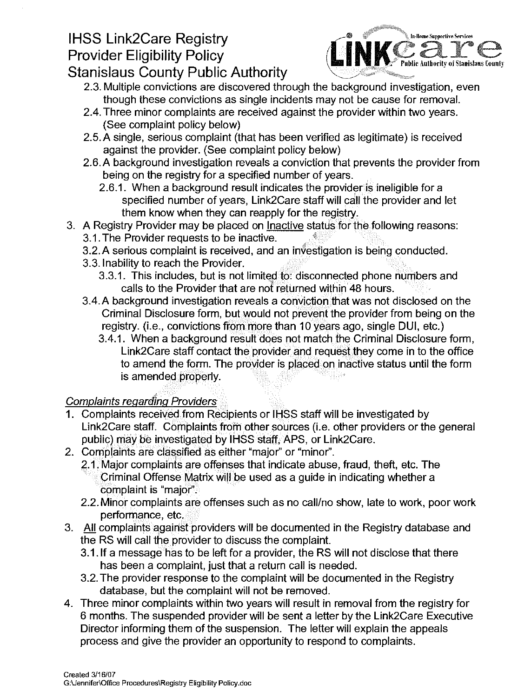# **IHSS Link2Care Registry Provider Eligibility Policy**

![](_page_6_Picture_1.jpeg)

## **Stanislaus County Public Authority**

- 2.3. Multiple convictions are discovered through the background investigation, even though these convictions as single incidents may not be cause for removal.
- 2.4. Three minor complaints are received against the provider within two years. (See complaint policy below)
- 2.5. A single, serious complaint (that has been verified as legitimate) is received against the provider. (See complaint policy below)
- 2.6. A background investigation reveals a conviction that prevents the provider from being on the registry for a specified number of years.
	- 2.6.1. When a background result indicates the provider is ineligible for a specified number of years, Link2Care staff will call the provider and let them know when they can reapply for the registry.
- 3. A Registry Provider may be placed on Inactive status for the following reasons:
	- 3.1. The Provider requests to be inactive.
	- 3.2. A serious complaint is received, and an investigation is being conducted.
	- 3.3. Inability to reach the Provider.
		- 3.3.1. This includes, but is not limited to: disconnected phone numbers and calls to the Provider that are not returned within 48 hours.
	- 3.4. A background investigation reveals a conviction that was not disclosed on the Criminal Disclosure form, but would not prevent the provider from being on the registry. (i.e., convictions from more than 10 years ago, single DUI, etc.)
		- 3.4.1. When a background result does not match the Criminal Disclosure form, Link2Care staff contact the provider and request they come in to the office to amend the form. The provider is placed on inactive status until the form is amended properly.

## **Complaints regarding Providers**

- 1. Complaints received from Recipients or IHSS staff will be investigated by Link2Care staff. Complaints from other sources (i.e. other providers or the general public) may be investigated by IHSS staff, APS, or Link2Care.
- 2. Complaints are classified as either "major" or "minor".
	- 2.1. Major complaints are offenses that indicate abuse, fraud, theft, etc. The Criminal Offense Matrix will be used as a guide in indicating whether a complaint is "major".
	- 2.2. Minor complaints are offenses such as no call/no show, late to work, poor work performance, etc.
- 3. All complaints against providers will be documented in the Registry database and the RS will call the provider to discuss the complaint.
	- 3.1. If a message has to be left for a provider, the RS will not disclose that there has been a complaint, just that a return call is needed.
	- 3.2. The provider response to the complaint will be documented in the Registry database, but the complaint will not be removed.
- 4. Three minor complaints within two years will result in removal from the registry for 6 months. The suspended provider will be sent a letter by the Link2Care Executive Director informing them of the suspension. The letter will explain the appeals process and give the provider an opportunity to respond to complaints.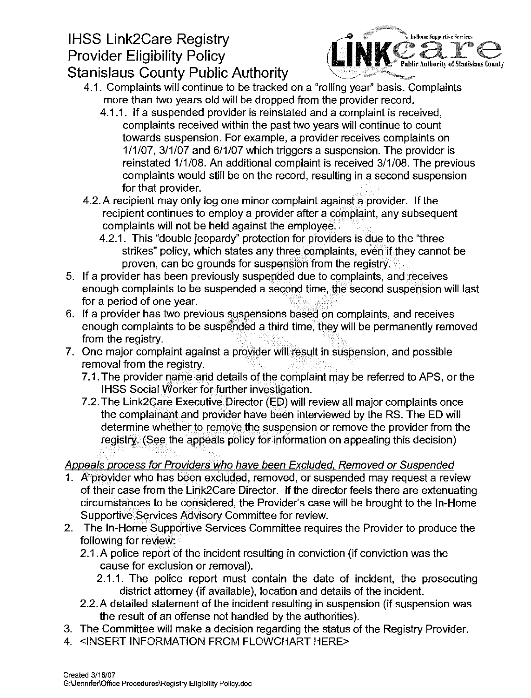# **IHSS Link2Care Registry** Provider Eligibility Policy

![](_page_7_Picture_1.jpeg)

- **Stanislaus County Public Authority** 
	- 4.1. Complaints will continue to be tracked on a "rolling year" basis. Complaints more than two years old will be dropped from the provider record.
		- 4.1.1. If a suspended provider is reinstated and a complaint is received. complaints received within the past two years will continue to count towards suspension. For example, a provider receives complaints on 1/1/07, 3/1/07 and 6/1/07 which triggers a suspension. The provider is reinstated 1/1/08. An additional complaint is received 3/1/08. The previous complaints would still be on the record, resulting in a second suspension for that provider.
	- 4.2. A recipient may only log one minor complaint against a provider. If the recipient continues to employ a provider after a complaint, any subsequent complaints will not be held against the employee.
		- 4.2.1. This "double jeopardy" protection for providers is due to the "three" strikes" policy, which states any three complaints, even if they cannot be proven, can be grounds for suspension from the registry.
- 5. If a provider has been previously suspended due to complaints, and receives enough complaints to be suspended a second time, the second suspension will last for a period of one vear.
- 6. If a provider has two previous suspensions based on complaints, and receives enough complaints to be suspended a third time, they will be permanently removed from the registry.
- 7. One major complaint against a provider will result in suspension, and possible removal from the registry.
	- 7.1. The provider name and details of the complaint may be referred to APS, or the **IHSS Social Worker for further investigation.**
	- 7.2. The Link2Care Executive Director (ED) will review all major complaints once the complainant and provider have been interviewed by the RS. The ED will determine whether to remove the suspension or remove the provider from the registry. (See the appeals policy for information on appealing this decision)

## Appeals process for Providers who have been Excluded, Removed or Suspended

- 1. A provider who has been excluded, removed, or suspended may request a review of their case from the Link2Care Director. If the director feels there are extenuating circumstances to be considered, the Provider's case will be brought to the In-Home Supportive Services Advisory Committee for review.
- 2. The In-Home Supportive Services Committee requires the Provider to produce the following for review:
	- 2.1. A police report of the incident resulting in conviction (if conviction was the cause for exclusion or removal).
		- 2.1.1. The police report must contain the date of incident, the prosecuting district attorney (if available), location and details of the incident.
	- 2.2. A detailed statement of the incident resulting in suspension (if suspension was the result of an offense not handled by the authorities).
- 3. The Committee will make a decision regarding the status of the Registry Provider.
- 4. <INSERT INFORMATION FROM FLOWCHART HERE>